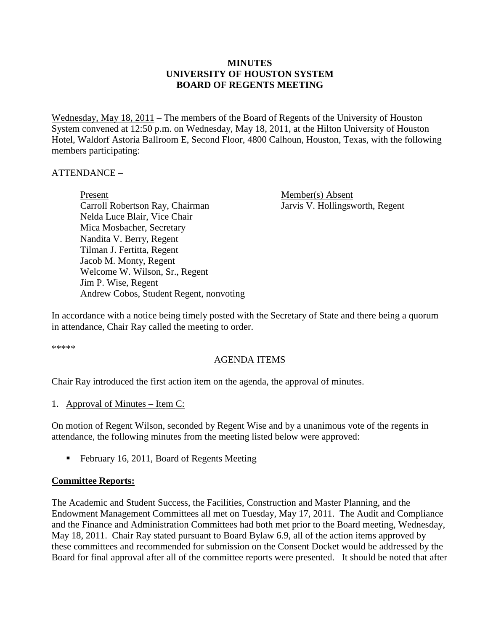### **MINUTES UNIVERSITY OF HOUSTON SYSTEM BOARD OF REGENTS MEETING**

Wednesday, May 18, 2011 – The members of the Board of Regents of the University of Houston System convened at 12:50 p.m. on Wednesday, May 18, 2011, at the Hilton University of Houston Hotel, Waldorf Astoria Ballroom E, Second Floor, 4800 Calhoun, Houston, Texas, with the following members participating:

#### ATTENDANCE –

Present Member(s) Absent Carroll Robertson Ray, Chairman Jarvis V. Hollingsworth, Regent Nelda Luce Blair, Vice Chair Mica Mosbacher, Secretary Nandita V. Berry, Regent Tilman J. Fertitta, Regent Jacob M. Monty, Regent Welcome W. Wilson, Sr., Regent Jim P. Wise, Regent Andrew Cobos, Student Regent, nonvoting

In accordance with a notice being timely posted with the Secretary of State and there being a quorum in attendance, Chair Ray called the meeting to order.

\*\*\*\*\*

#### AGENDA ITEMS

Chair Ray introduced the first action item on the agenda, the approval of minutes.

#### 1. Approval of Minutes – Item C:

On motion of Regent Wilson, seconded by Regent Wise and by a unanimous vote of the regents in attendance, the following minutes from the meeting listed below were approved:

■ February 16, 2011, Board of Regents Meeting

#### **Committee Reports:**

The Academic and Student Success, the Facilities, Construction and Master Planning, and the Endowment Management Committees all met on Tuesday, May 17, 2011. The Audit and Compliance and the Finance and Administration Committees had both met prior to the Board meeting, Wednesday, May 18, 2011. Chair Ray stated pursuant to Board Bylaw 6.9, all of the action items approved by these committees and recommended for submission on the Consent Docket would be addressed by the Board for final approval after all of the committee reports were presented. It should be noted that after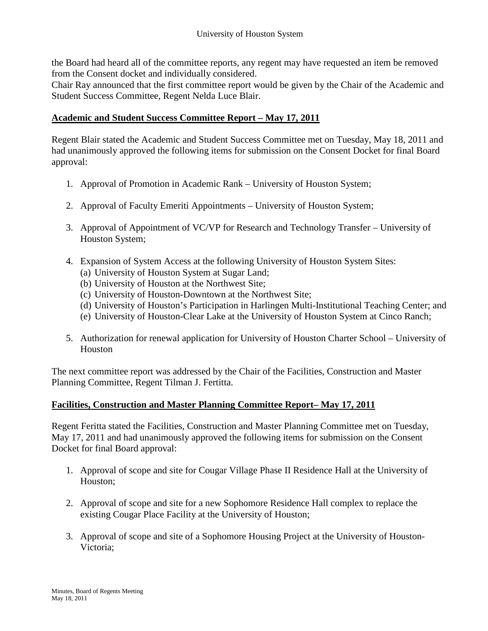the Board had heard all of the committee reports, any regent may have requested an item be removed from the Consent docket and individually considered.

Chair Ray announced that the first committee report would be given by the Chair of the Academic and Student Success Committee, Regent Nelda Luce Blair.

## **Academic and Student Success Committee Report – May 17, 2011**

Regent Blair stated the Academic and Student Success Committee met on Tuesday, May 18, 2011 and had unanimously approved the following items for submission on the Consent Docket for final Board approval:

- 1. Approval of Promotion in Academic Rank University of Houston System;
- 2. Approval of Faculty Emeriti Appointments University of Houston System;
- 3. Approval of Appointment of VC/VP for Research and Technology Transfer University of Houston System;
- 4. Expansion of System Access at the following University of Houston System Sites:
	- (a) University of Houston System at Sugar Land;
	- (b) University of Houston at the Northwest Site;
	- (c) University of Houston-Downtown at the Northwest Site;
	- (d) University of Houston's Participation in Harlingen Multi-Institutional Teaching Center; and
	- (e) University of Houston-Clear Lake at the University of Houston System at Cinco Ranch;
- 5. Authorization for renewal application for University of Houston Charter School University of **Houston**

The next committee report was addressed by the Chair of the Facilities, Construction and Master Planning Committee, Regent Tilman J. Fertitta.

### **Facilities, Construction and Master Planning Committee Report– May 17, 2011**

Regent Feritta stated the Facilities, Construction and Master Planning Committee met on Tuesday, May 17, 2011 and had unanimously approved the following items for submission on the Consent Docket for final Board approval:

- 1. Approval of scope and site for Cougar Village Phase II Residence Hall at the University of Houston;
- 2. Approval of scope and site for a new Sophomore Residence Hall complex to replace the existing Cougar Place Facility at the University of Houston;
- 3. Approval of scope and site of a Sophomore Housing Project at the University of Houston-Victoria;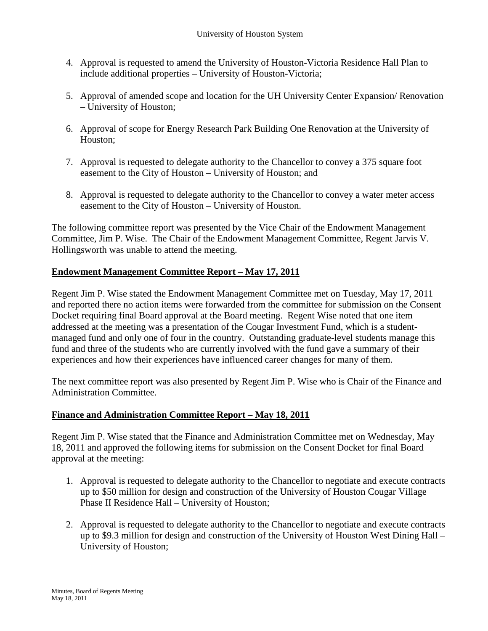- 4. Approval is requested to amend the University of Houston-Victoria Residence Hall Plan to include additional properties – University of Houston-Victoria;
- 5. Approval of amended scope and location for the UH University Center Expansion/ Renovation – University of Houston;
- 6. Approval of scope for Energy Research Park Building One Renovation at the University of Houston;
- 7. Approval is requested to delegate authority to the Chancellor to convey a 375 square foot easement to the City of Houston – University of Houston; and
- 8. Approval is requested to delegate authority to the Chancellor to convey a water meter access easement to the City of Houston – University of Houston.

The following committee report was presented by the Vice Chair of the Endowment Management Committee, Jim P. Wise. The Chair of the Endowment Management Committee, Regent Jarvis V. Hollingsworth was unable to attend the meeting.

# **Endowment Management Committee Report – May 17, 2011**

Regent Jim P. Wise stated the Endowment Management Committee met on Tuesday, May 17, 2011 and reported there no action items were forwarded from the committee for submission on the Consent Docket requiring final Board approval at the Board meeting. Regent Wise noted that one item addressed at the meeting was a presentation of the Cougar Investment Fund, which is a studentmanaged fund and only one of four in the country. Outstanding graduate-level students manage this fund and three of the students who are currently involved with the fund gave a summary of their experiences and how their experiences have influenced career changes for many of them.

The next committee report was also presented by Regent Jim P. Wise who is Chair of the Finance and Administration Committee.

### **Finance and Administration Committee Report – May 18, 2011**

Regent Jim P. Wise stated that the Finance and Administration Committee met on Wednesday, May 18, 2011 and approved the following items for submission on the Consent Docket for final Board approval at the meeting:

- 1. Approval is requested to delegate authority to the Chancellor to negotiate and execute contracts up to \$50 million for design and construction of the University of Houston Cougar Village Phase II Residence Hall – University of Houston;
- 2. Approval is requested to delegate authority to the Chancellor to negotiate and execute contracts up to \$9.3 million for design and construction of the University of Houston West Dining Hall – University of Houston;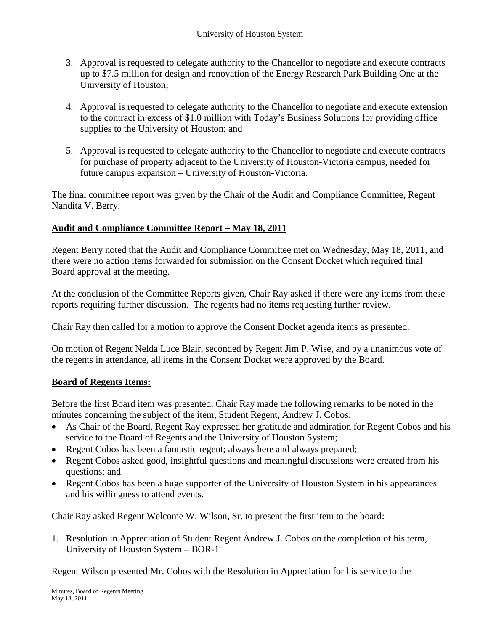- 3. Approval is requested to delegate authority to the Chancellor to negotiate and execute contracts up to \$7.5 million for design and renovation of the Energy Research Park Building One at the University of Houston;
- 4. Approval is requested to delegate authority to the Chancellor to negotiate and execute extension to the contract in excess of \$1.0 million with Today's Business Solutions for providing office supplies to the University of Houston; and
- 5. Approval is requested to delegate authority to the Chancellor to negotiate and execute contracts for purchase of property adjacent to the University of Houston-Victoria campus, needed for future campus expansion – University of Houston-Victoria.

The final committee report was given by the Chair of the Audit and Compliance Committee, Regent Nandita V. Berry.

# **Audit and Compliance Committee Report – May 18, 2011**

Regent Berry noted that the Audit and Compliance Committee met on Wednesday, May 18, 2011, and there were no action items forwarded for submission on the Consent Docket which required final Board approval at the meeting.

At the conclusion of the Committee Reports given, Chair Ray asked if there were any items from these reports requiring further discussion. The regents had no items requesting further review.

Chair Ray then called for a motion to approve the Consent Docket agenda items as presented.

On motion of Regent Nelda Luce Blair, seconded by Regent Jim P. Wise, and by a unanimous vote of the regents in attendance, all items in the Consent Docket were approved by the Board.

### **Board of Regents Items:**

Before the first Board item was presented, Chair Ray made the following remarks to be noted in the minutes concerning the subject of the item, Student Regent, Andrew J. Cobos:

- As Chair of the Board, Regent Ray expressed her gratitude and admiration for Regent Cobos and his service to the Board of Regents and the University of Houston System;
- Regent Cobos has been a fantastic regent; always here and always prepared;
- Regent Cobos asked good, insightful questions and meaningful discussions were created from his questions; and
- Regent Cobos has been a huge supporter of the University of Houston System in his appearances and his willingness to attend events.

Chair Ray asked Regent Welcome W. Wilson, Sr. to present the first item to the board:

1. Resolution in Appreciation of Student Regent Andrew J. Cobos on the completion of his term, University of Houston System – BOR-1

Regent Wilson presented Mr. Cobos with the Resolution in Appreciation for his service to the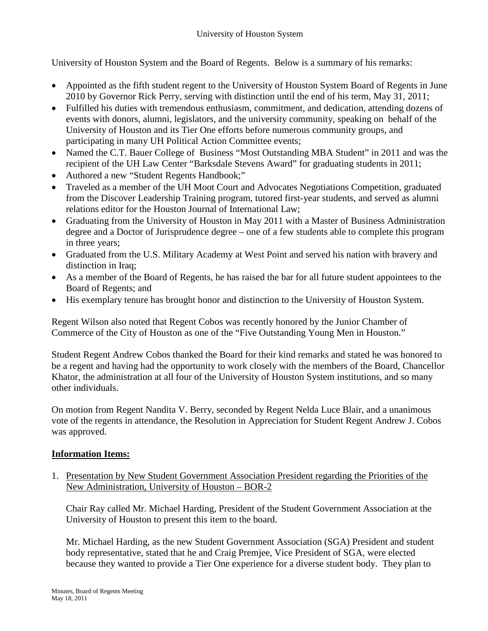University of Houston System and the Board of Regents. Below is a summary of his remarks:

- Appointed as the fifth student regent to the University of Houston System Board of Regents in June 2010 by Governor Rick Perry, serving with distinction until the end of his term, May 31, 2011;
- Fulfilled his duties with tremendous enthusiasm, commitment, and dedication, attending dozens of events with donors, alumni, legislators, and the university community, speaking on behalf of the University of Houston and its Tier One efforts before numerous community groups, and participating in many UH Political Action Committee events;
- Named the C.T. Bauer College of Business "Most Outstanding MBA Student" in 2011 and was the recipient of the UH Law Center "Barksdale Stevens Award" for graduating students in 2011;
- Authored a new "Student Regents Handbook;"
- Traveled as a member of the UH Moot Court and Advocates Negotiations Competition, graduated from the Discover Leadership Training program, tutored first-year students, and served as alumni relations editor for the Houston Journal of International Law;
- Graduating from the University of Houston in May 2011 with a Master of Business Administration degree and a Doctor of Jurisprudence degree – one of a few students able to complete this program in three years;
- Graduated from the U.S. Military Academy at West Point and served his nation with bravery and distinction in Iraq;
- As a member of the Board of Regents, he has raised the bar for all future student appointees to the Board of Regents; and
- His exemplary tenure has brought honor and distinction to the University of Houston System.

Regent Wilson also noted that Regent Cobos was recently honored by the Junior Chamber of Commerce of the City of Houston as one of the "Five Outstanding Young Men in Houston."

Student Regent Andrew Cobos thanked the Board for their kind remarks and stated he was honored to be a regent and having had the opportunity to work closely with the members of the Board, Chancellor Khator, the administration at all four of the University of Houston System institutions, and so many other individuals.

On motion from Regent Nandita V. Berry, seconded by Regent Nelda Luce Blair, and a unanimous vote of the regents in attendance, the Resolution in Appreciation for Student Regent Andrew J. Cobos was approved.

### **Information Items:**

1. Presentation by New Student Government Association President regarding the Priorities of the New Administration, University of Houston – BOR-2

Chair Ray called Mr. Michael Harding, President of the Student Government Association at the University of Houston to present this item to the board.

Mr. Michael Harding, as the new Student Government Association (SGA) President and student body representative, stated that he and Craig Premjee, Vice President of SGA, were elected because they wanted to provide a Tier One experience for a diverse student body. They plan to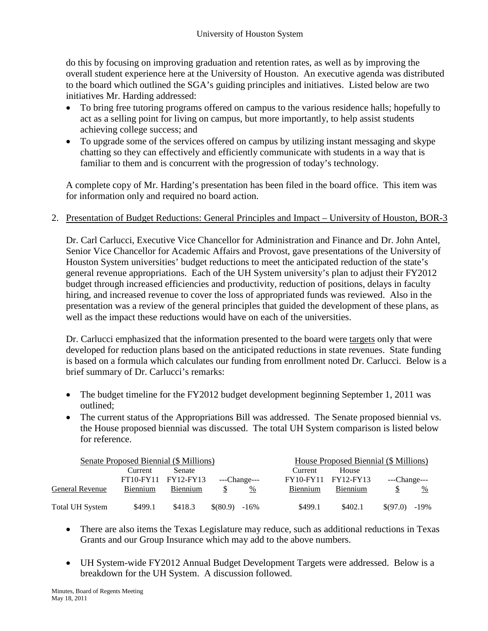do this by focusing on improving graduation and retention rates, as well as by improving the overall student experience here at the University of Houston. An executive agenda was distributed to the board which outlined the SGA's guiding principles and initiatives. Listed below are two initiatives Mr. Harding addressed:

- To bring free tutoring programs offered on campus to the various residence halls; hopefully to act as a selling point for living on campus, but more importantly, to help assist students achieving college success; and
- To upgrade some of the services offered on campus by utilizing instant messaging and skype chatting so they can effectively and efficiently communicate with students in a way that is familiar to them and is concurrent with the progression of today's technology.

A complete copy of Mr. Harding's presentation has been filed in the board office. This item was for information only and required no board action.

2. Presentation of Budget Reductions: General Principles and Impact – University of Houston, BOR-3

Dr. Carl Carlucci, Executive Vice Chancellor for Administration and Finance and Dr. John Antel, Senior Vice Chancellor for Academic Affairs and Provost, gave presentations of the University of Houston System universities' budget reductions to meet the anticipated reduction of the state's general revenue appropriations. Each of the UH System university's plan to adjust their FY2012 budget through increased efficiencies and productivity, reduction of positions, delays in faculty hiring, and increased revenue to cover the loss of appropriated funds was reviewed. Also in the presentation was a review of the general principles that guided the development of these plans, as well as the impact these reductions would have on each of the universities.

Dr. Carlucci emphasized that the information presented to the board were targets only that were developed for reduction plans based on the anticipated reductions in state revenues. State funding is based on a formula which calculates our funding from enrollment noted Dr. Carlucci. Below is a brief summary of Dr. Carlucci's remarks:

- The budget timeline for the FY2012 budget development beginning September 1, 2011 was outlined;
- The current status of the Appropriations Bill was addressed. The Senate proposed biennial vs. the House proposed biennial was discussed. The total UH System comparison is listed below for reference.

| Senate Proposed Biennial (\$ Millions) |                  |           |                  |              | House Proposed Biennial (\$ Millions) |                     |                 |   |  |
|----------------------------------------|------------------|-----------|------------------|--------------|---------------------------------------|---------------------|-----------------|---|--|
|                                        | Current          | Senate    |                  |              | Current                               | House               |                 |   |  |
|                                        | <b>FT10-FY11</b> | FY12-FY13 |                  | ---Change--- |                                       | FY10-FY11 FY12-FY13 | ---Change---    |   |  |
| General Revenue                        | Biennium         | Biennium  |                  | %            | <b>Biennium</b>                       | Biennium            |                 | % |  |
| Total UH System                        | \$499.1          | \$418.3   | $\$(80.9) -16\%$ |              | \$499.1                               | \$402.1             | $$(97.0) -19\%$ |   |  |

- There are also items the Texas Legislature may reduce, such as additional reductions in Texas Grants and our Group Insurance which may add to the above numbers.
- UH System-wide FY2012 Annual Budget Development Targets were addressed. Below is a breakdown for the UH System. A discussion followed.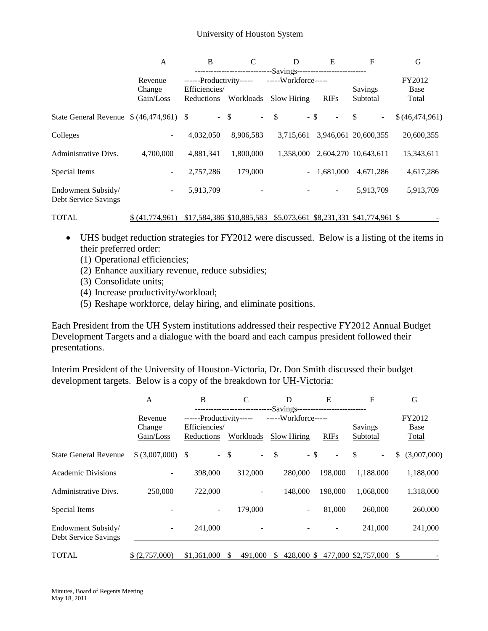|                                            | A                                  | B                                              | $\mathbf C$          | D                       | E                        | F                    | G              |  |
|--------------------------------------------|------------------------------------|------------------------------------------------|----------------------|-------------------------|--------------------------|----------------------|----------------|--|
|                                            | -Savings-------------------------- |                                                |                      |                         |                          |                      |                |  |
|                                            | Revenue                            | -----Workforce-----<br>------Productivity----- |                      |                         |                          |                      |                |  |
|                                            | Change                             | Efficiencies/                                  |                      |                         |                          | Savings              | <b>Base</b>    |  |
|                                            | Gain/Loss                          | Reductions                                     | Workloads            | <b>Slow Hiring</b>      | <b>RIFs</b>              | Subtotal             | <b>Total</b>   |  |
|                                            |                                    |                                                | $-$ \$<br>$\sim 100$ | <sup>\$</sup><br>$-$ \$ | $\overline{\phantom{a}}$ | \$<br>$\blacksquare$ | \$(46,474,961) |  |
| Colleges                                   | -                                  | 4,032,050                                      | 8,906,583            | 3,715,661               |                          | 3,946,061 20,600,355 | 20,600,355     |  |
| Administrative Divs.                       | 4,700,000                          | 4,881,341                                      | 1,800,000            | 1.358,000               |                          | 2,604,270 10,643,611 | 15,343,611     |  |
| Special Items                              | $\overline{\phantom{a}}$           | 2,757,286                                      | 179,000              |                         | 1,681,000                | 4,671,286            | 4,617,286      |  |
| Endowment Subsidy/<br>Debt Service Savings | ۰.                                 | 5,913,709                                      |                      |                         | -                        | 5,913,709            | 5,913,709      |  |
|                                            |                                    |                                                |                      |                         |                          |                      |                |  |

• UHS budget reduction strategies for FY2012 were discussed. Below is a listing of the items in their preferred order:

TOTAL  $\frac{\$ (41,774,961) \$ 17,584,386 \$ 10,885,583 \$ 5,073,661 \$ 8,231,331 \$ 41,774,961 \$}$ 

- (1) Operational efficiencies;
- (2) Enhance auxiliary revenue, reduce subsidies;
- (3) Consolidate units;
- (4) Increase productivity/workload;
- (5) Reshape workforce, delay hiring, and eliminate positions.

Each President from the UH System institutions addressed their respective FY2012 Annual Budget Development Targets and a dialogue with the board and each campus president followed their presentations.

Interim President of the University of Houston-Victoria, Dr. Don Smith discussed their budget development targets. Below is a copy of the breakdown for UH-Victoria:

|                                            | A                              | B                                                                   | C       | D                                                                         | E                            | F                                  | G                       |  |
|--------------------------------------------|--------------------------------|---------------------------------------------------------------------|---------|---------------------------------------------------------------------------|------------------------------|------------------------------------|-------------------------|--|
|                                            | Revenue<br>Change<br>Gain/Loss | ------Productivity-----<br>Efficiencies/<br>Workloads<br>Reductions |         | -Savings---------------------------<br>-----Workforce-----<br>Slow Hiring | <b>RIFs</b>                  | Savings<br>Subtotal                | FY2012<br>Base<br>Total |  |
| <b>State General Revenue</b>               | $$ (3,007,000)$ \ \$           |                                                                     | $-$ \$  | $\mathcal{S}$<br>- \$                                                     | $\qquad \qquad \blacksquare$ | -S<br>$\qquad \qquad \blacksquare$ | (3,007,000)<br>\$       |  |
| <b>Academic Divisions</b>                  |                                | 398,000                                                             | 312,000 | 280,000                                                                   | 198,000                      | 1,188.000                          | 1,188,000               |  |
| Administrative Divs.                       | 250,000                        | 722,000                                                             |         | 148,000                                                                   | 198,000                      | 1,068,000                          | 1,318,000               |  |
| Special Items                              |                                |                                                                     | 179,000 | -                                                                         | 81,000                       | 260,000                            | 260,000                 |  |
| Endowment Subsidy/<br>Debt Service Savings |                                | 241,000                                                             |         |                                                                           |                              | 241,000                            | 241,000                 |  |
| <b>TOTAL</b>                               | \$ (2,757,000)                 | \$1,361,000                                                         | 491,000 | 428,000 \$                                                                |                              | 477,000 \$2,757,000                | S                       |  |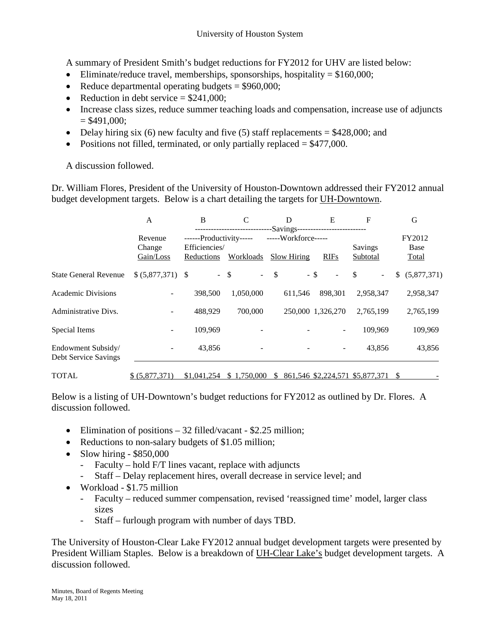A summary of President Smith's budget reductions for FY2012 for UHV are listed below:

- Eliminate/reduce travel, memberships, sponsorships, hospitality  $= $160,000;$
- Reduce departmental operating budgets  $= $960,000;$
- Reduction in debt service  $= $241,000$ :
- Increase class sizes, reduce summer teaching loads and compensation, increase use of adjuncts  $= $491,000;$
- Delay hiring six (6) new faculty and five (5) staff replacements  $= $428,000$ ; and
- Positions not filled, terminated, or only partially replaced  $= $477,000$ .

A discussion followed.

Dr. William Flores, President of the University of Houston-Downtown addressed their FY2012 annual budget development targets. Below is a chart detailing the targets for UH-Downtown.

|                                            | A                              | B                                                                          | C           | D                                                                                | E                        | F                               | G                              |  |
|--------------------------------------------|--------------------------------|----------------------------------------------------------------------------|-------------|----------------------------------------------------------------------------------|--------------------------|---------------------------------|--------------------------------|--|
|                                            | Revenue<br>Change<br>Gain/Loss | ------Productivity-----<br>Efficiencies/<br><b>Workloads</b><br>Reductions |             | -Savings---------------------------<br>-----Workforce-----<br><b>Slow Hiring</b> | <b>RIFs</b>              | Savings<br><b>Subtotal</b>      | FY2012<br>Base<br><b>Total</b> |  |
| <b>State General Revenue</b>               | $$ (5,877,371)$ \\$            |                                                                            | $-$ \$      | $-5$                                                                             | $-$ \$<br>$\overline{a}$ | -S<br>۰                         | (5,877,371)<br>\$              |  |
| Academic Divisions                         |                                | 398,500                                                                    | 1,050,000   | 611,546                                                                          | 898.301                  | 2,958,347                       | 2,958,347                      |  |
| Administrative Divs.                       |                                | 488.929                                                                    | 700,000     |                                                                                  | 250,000 1,326,270        | 2,765,199                       | 2,765,199                      |  |
| Special Items                              |                                | 109,969                                                                    |             |                                                                                  |                          | 109,969                         | 109,969                        |  |
| Endowment Subsidy/<br>Debt Service Savings |                                | 43,856                                                                     |             |                                                                                  |                          | 43.856                          | 43,856                         |  |
| <b>TOTAL</b>                               | \$ (5,877,371)                 | \$1,041,254                                                                | \$1,750,000 | S.                                                                               |                          | 861,546 \$2,224,571 \$5,877,371 | S                              |  |

Below is a listing of UH-Downtown's budget reductions for FY2012 as outlined by Dr. Flores. A discussion followed.

- Elimination of positions 32 filled/vacant \$2.25 million;
- Reductions to non-salary budgets of \$1.05 million;
- Slow hiring  $-$  \$850,000
	- Faculty hold F/T lines vacant, replace with adjuncts
	- Staff Delay replacement hires, overall decrease in service level; and
- Workload \$1.75 million
	- Faculty reduced summer compensation, revised 'reassigned time' model, larger class sizes
	- Staff furlough program with number of days TBD.

The University of Houston-Clear Lake FY2012 annual budget development targets were presented by President William Staples. Below is a breakdown of UH-Clear Lake's budget development targets. A discussion followed.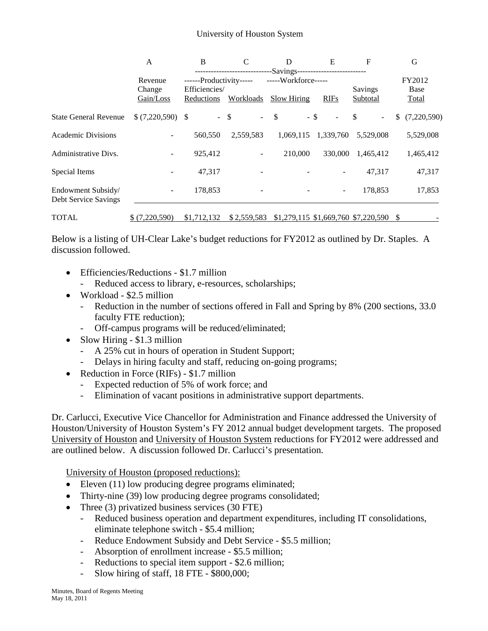|                                            | A                                                                                                                          | B                           | C           | D                      | E              | F                                   | G                 |
|--------------------------------------------|----------------------------------------------------------------------------------------------------------------------------|-----------------------------|-------------|------------------------|----------------|-------------------------------------|-------------------|
|                                            | -----------------------------Savings-------------------------<br>-----Workforce-----<br>------Productivity-----<br>Revenue |                             |             |                        |                |                                     | FY2012            |
|                                            | Change<br>Gain/Loss                                                                                                        | Efficiencies/<br>Reductions | Workloads   | <b>Slow Hiring</b>     | <b>RIFs</b>    | Savings<br>Subtotal                 | Base<br>Total     |
| <b>State General Revenue</b>               | $$ (7,220,590)$ \ \$                                                                                                       | $-$ \$                      | $\sim 100$  | $\mathbb{S}$<br>$-$ \$ | $\blacksquare$ | \$<br>$\blacksquare$                | (7,220,590)<br>S. |
| <b>Academic Divisions</b>                  |                                                                                                                            | 560,550                     | 2,559,583   | 1,069,115              | 1,339,760      | 5.529,008                           | 5,529,008         |
| Administrative Divs.                       |                                                                                                                            | 925,412                     |             | 210,000                | 330,000        | 1,465,412                           | 1,465,412         |
| Special Items                              |                                                                                                                            | 47,317                      |             |                        |                | 47,317                              | 47,317            |
| Endowment Subsidy/<br>Debt Service Savings |                                                                                                                            | 178,853                     |             |                        | Ξ.             | 178,853                             | 17,853            |
| <b>TOTAL</b>                               | \$(7,220,590)                                                                                                              | \$1,712,132                 | \$2,559,583 |                        |                | \$1,279,115 \$1,669,760 \$7,220,590 | S                 |

Below is a listing of UH-Clear Lake's budget reductions for FY2012 as outlined by Dr. Staples. A discussion followed.

- Efficiencies/Reductions \$1.7 million
	- Reduced access to library, e-resources, scholarships;
- Workload \$2.5 million
	- Reduction in the number of sections offered in Fall and Spring by 8% (200 sections, 33.0 faculty FTE reduction);
	- Off-campus programs will be reduced/eliminated;
- Slow Hiring \$1.3 million
	- A 25% cut in hours of operation in Student Support;
	- Delays in hiring faculty and staff, reducing on-going programs;
- Reduction in Force (RIFs) \$1.7 million
	- Expected reduction of 5% of work force; and
	- Elimination of vacant positions in administrative support departments.

Dr. Carlucci, Executive Vice Chancellor for Administration and Finance addressed the University of Houston/University of Houston System's FY 2012 annual budget development targets. The proposed University of Houston and University of Houston System reductions for FY2012 were addressed and are outlined below. A discussion followed Dr. Carlucci's presentation.

University of Houston (proposed reductions):

- Eleven (11) low producing degree programs eliminated;
- Thirty-nine (39) low producing degree programs consolidated;
- Three (3) privatized business services (30 FTE)<br>- Reduced business operation and denartment
	- Reduced business operation and department expenditures, including IT consolidations, eliminate telephone switch - \$5.4 million;
	- Reduce Endowment Subsidy and Debt Service \$5.5 million;
	- Absorption of enrollment increase \$5.5 million;
	- Reductions to special item support \$2.6 million;
	- Slow hiring of staff, 18 FTE \$800,000;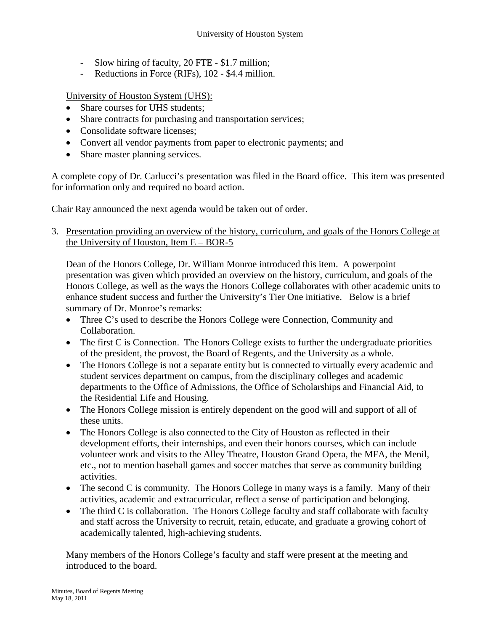- Slow hiring of faculty, 20 FTE \$1.7 million;
- Reductions in Force (RIFs), 102 \$4.4 million.

University of Houston System (UHS):

- Share courses for UHS students;
- Share contracts for purchasing and transportation services;
- Consolidate software licenses;
- Convert all vendor payments from paper to electronic payments; and
- Share master planning services.

A complete copy of Dr. Carlucci's presentation was filed in the Board office. This item was presented for information only and required no board action.

Chair Ray announced the next agenda would be taken out of order.

3. Presentation providing an overview of the history, curriculum, and goals of the Honors College at the University of Houston, Item E – BOR-5

Dean of the Honors College, Dr. William Monroe introduced this item. A powerpoint presentation was given which provided an overview on the history, curriculum, and goals of the Honors College, as well as the ways the Honors College collaborates with other academic units to enhance student success and further the University's Tier One initiative. Below is a brief summary of Dr. Monroe's remarks:

- Three C's used to describe the Honors College were Connection, Community and Collaboration.
- The first C is Connection. The Honors College exists to further the undergraduate priorities of the president, the provost, the Board of Regents, and the University as a whole.
- The Honors College is not a separate entity but is connected to virtually every academic and student services department on campus, from the disciplinary colleges and academic departments to the Office of Admissions, the Office of Scholarships and Financial Aid, to the Residential Life and Housing.
- The Honors College mission is entirely dependent on the good will and support of all of these units.
- The Honors College is also connected to the City of Houston as reflected in their development efforts, their internships, and even their honors courses, which can include volunteer work and visits to the Alley Theatre, Houston Grand Opera, the MFA, the Menil, etc., not to mention baseball games and soccer matches that serve as community building activities.
- The second C is community. The Honors College in many ways is a family. Many of their activities, academic and extracurricular, reflect a sense of participation and belonging.
- The third C is collaboration. The Honors College faculty and staff collaborate with faculty and staff across the University to recruit, retain, educate, and graduate a growing cohort of academically talented, high-achieving students.

Many members of the Honors College's faculty and staff were present at the meeting and introduced to the board.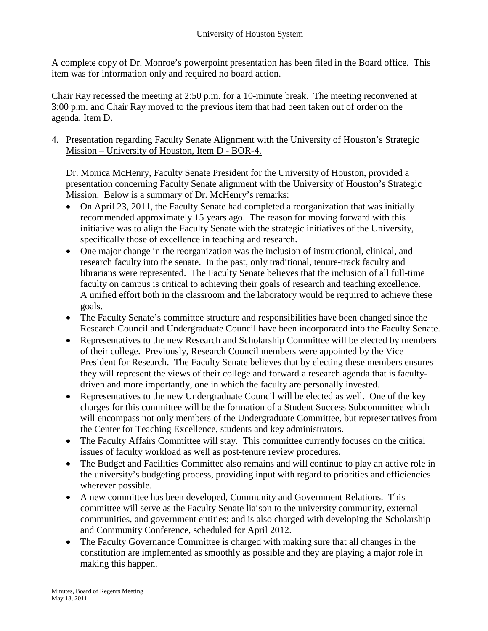A complete copy of Dr. Monroe's powerpoint presentation has been filed in the Board office. This item was for information only and required no board action.

Chair Ray recessed the meeting at 2:50 p.m. for a 10-minute break. The meeting reconvened at 3:00 p.m. and Chair Ray moved to the previous item that had been taken out of order on the agenda, Item D.

4. Presentation regarding Faculty Senate Alignment with the University of Houston's Strategic Mission – University of Houston, Item D - BOR-4.

Dr. Monica McHenry, Faculty Senate President for the University of Houston, provided a presentation concerning Faculty Senate alignment with the University of Houston's Strategic Mission. Below is a summary of Dr. McHenry's remarks:

- On April 23, 2011, the Faculty Senate had completed a reorganization that was initially recommended approximately 15 years ago. The reason for moving forward with this initiative was to align the Faculty Senate with the strategic initiatives of the University, specifically those of excellence in teaching and research.
- One major change in the reorganization was the inclusion of instructional, clinical, and research faculty into the senate. In the past, only traditional, tenure-track faculty and librarians were represented. The Faculty Senate believes that the inclusion of all full-time faculty on campus is critical to achieving their goals of research and teaching excellence. A unified effort both in the classroom and the laboratory would be required to achieve these goals.
- The Faculty Senate's committee structure and responsibilities have been changed since the Research Council and Undergraduate Council have been incorporated into the Faculty Senate.
- Representatives to the new Research and Scholarship Committee will be elected by members of their college. Previously, Research Council members were appointed by the Vice President for Research. The Faculty Senate believes that by electing these members ensures they will represent the views of their college and forward a research agenda that is facultydriven and more importantly, one in which the faculty are personally invested.
- Representatives to the new Undergraduate Council will be elected as well. One of the key charges for this committee will be the formation of a Student Success Subcommittee which will encompass not only members of the Undergraduate Committee, but representatives from the Center for Teaching Excellence, students and key administrators.
- The Faculty Affairs Committee will stay. This committee currently focuses on the critical issues of faculty workload as well as post-tenure review procedures.
- The Budget and Facilities Committee also remains and will continue to play an active role in the university's budgeting process, providing input with regard to priorities and efficiencies wherever possible.
- A new committee has been developed, Community and Government Relations. This committee will serve as the Faculty Senate liaison to the university community, external communities, and government entities; and is also charged with developing the Scholarship and Community Conference, scheduled for April 2012.
- The Faculty Governance Committee is charged with making sure that all changes in the constitution are implemented as smoothly as possible and they are playing a major role in making this happen.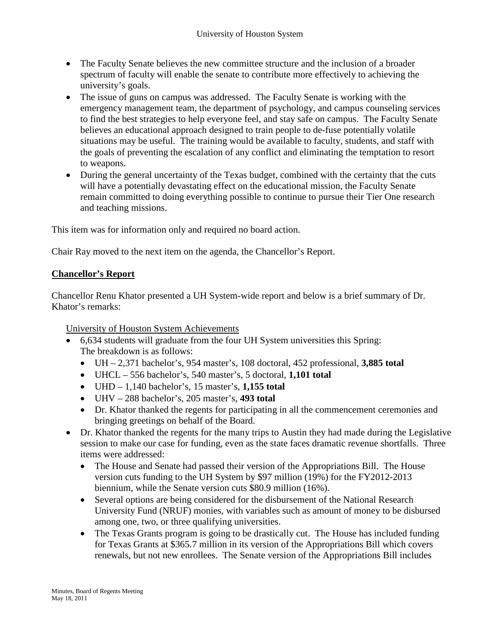- The Faculty Senate believes the new committee structure and the inclusion of a broader spectrum of faculty will enable the senate to contribute more effectively to achieving the university's goals.
- The issue of guns on campus was addressed. The Faculty Senate is working with the emergency management team, the department of psychology, and campus counseling services to find the best strategies to help everyone feel, and stay safe on campus. The Faculty Senate believes an educational approach designed to train people to de-fuse potentially volatile situations may be useful. The training would be available to faculty, students, and staff with the goals of preventing the escalation of any conflict and eliminating the temptation to resort to weapons.
- During the general uncertainty of the Texas budget, combined with the certainty that the cuts will have a potentially devastating effect on the educational mission, the Faculty Senate remain committed to doing everything possible to continue to pursue their Tier One research and teaching missions.

This item was for information only and required no board action.

Chair Ray moved to the next item on the agenda, the Chancellor's Report.

## **Chancellor's Report**

Chancellor Renu Khator presented a UH System-wide report and below is a brief summary of Dr. Khator's remarks:

University of Houston System Achievements

- 6,634 students will graduate from the four UH System universities this Spring: The breakdown is as follows:
	- UH 2,371 bachelor's, 954 master's, 108 doctoral, 452 professional, **3,885 total**
	- UHCL 556 bachelor's, 540 master's, 5 doctoral, **1,101 total**
	- UHD 1,140 bachelor's, 15 master's, **1,155 total**
	- UHV 288 bachelor's, 205 master's, **493 total**
	- Dr. Khator thanked the regents for participating in all the commencement ceremonies and bringing greetings on behalf of the Board.
- Dr. Khator thanked the regents for the many trips to Austin they had made during the Legislative session to make our case for funding, even as the state faces dramatic revenue shortfalls. Three items were addressed:
	- The House and Senate had passed their version of the Appropriations Bill. The House version cuts funding to the UH System by \$97 million (19%) for the FY2012-2013 biennium, while the Senate version cuts \$80.9 million (16%).
	- Several options are being considered for the disbursement of the National Research University Fund (NRUF) monies, with variables such as amount of money to be disbursed among one, two, or three qualifying universities.
	- The Texas Grants program is going to be drastically cut. The House has included funding for Texas Grants at \$365.7 million in its version of the Appropriations Bill which covers renewals, but not new enrollees. The Senate version of the Appropriations Bill includes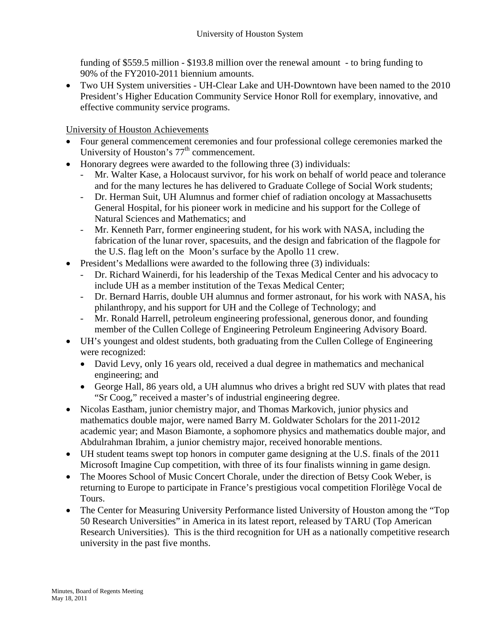funding of \$559.5 million - \$193.8 million over the renewal amount - to bring funding to 90% of the FY2010-2011 biennium amounts.

• Two UH System universities - UH-Clear Lake and UH-Downtown have been named to the 2010 President's Higher Education Community Service Honor Roll for exemplary, innovative, and effective community service programs.

University of Houston Achievements

- Four general commencement ceremonies and four professional college ceremonies marked the University of Houston's  $77<sup>th</sup>$  commencement.
- Honorary degrees were awarded to the following three (3) individuals:
	- Mr. Walter Kase, a Holocaust survivor, for his work on behalf of world peace and tolerance and for the many lectures he has delivered to Graduate College of Social Work students;
	- Dr. Herman Suit, UH Alumnus and former chief of radiation oncology at Massachusetts General Hospital, for his pioneer work in medicine and his support for the College of Natural Sciences and Mathematics; and
	- Mr. Kenneth Parr, former engineering student, for his work with NASA, including the fabrication of the lunar rover, spacesuits, and the design and fabrication of the flagpole for the U.S. flag left on the Moon's surface by the Apollo 11 crew.
- President's Medallions were awarded to the following three (3) individuals:
	- Dr. Richard Wainerdi, for his leadership of the Texas Medical Center and his advocacy to include UH as a member institution of the Texas Medical Center;
	- Dr. Bernard Harris, double UH alumnus and former astronaut, for his work with NASA, his philanthropy, and his support for UH and the College of Technology; and
	- Mr. Ronald Harrell, petroleum engineering professional, generous donor, and founding member of the Cullen College of Engineering Petroleum Engineering Advisory Board.
- UH's youngest and oldest students, both graduating from the Cullen College of Engineering were recognized:
	- David Levy, only 16 years old, received a dual degree in mathematics and mechanical engineering; and
	- George Hall, 86 years old, a UH alumnus who drives a bright red SUV with plates that read "Sr Coog," received a master's of industrial engineering degree.
- Nicolas Eastham, junior chemistry major, and Thomas Markovich, junior physics and mathematics double major, were named Barry M. Goldwater Scholars for the 2011-2012 academic year; and Mason Biamonte, a sophomore physics and mathematics double major, and Abdulrahman Ibrahim, a junior chemistry major, received honorable mentions.
- UH student teams swept top honors in computer game designing at the U.S. finals of the 2011 Microsoft Imagine Cup competition, with three of its four finalists winning in game design.
- The Moores School of Music Concert Chorale, under the direction of Betsy Cook Weber, is returning to Europe to participate in France's prestigious vocal competition Florilège Vocal de Tours.
- The Center for Measuring University Performance listed University of Houston among the "Top" 50 Research Universities" in America in its latest report, released by TARU (Top American Research Universities). This is the third recognition for UH as a nationally competitive research university in the past five months.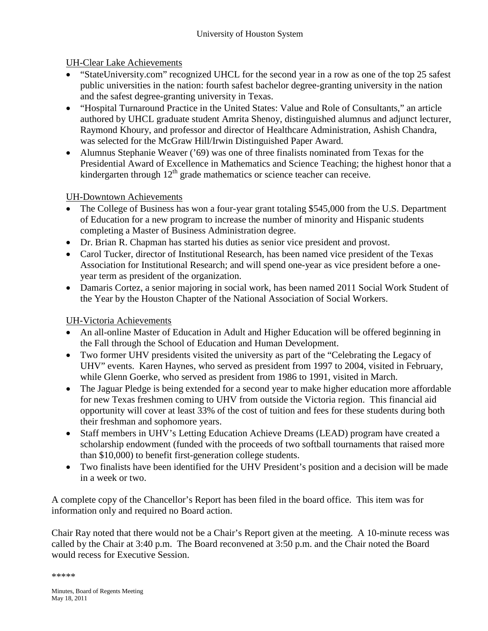# UH-Clear Lake Achievements

- "StateUniversity.com" recognized UHCL for the second year in a row as one of the top 25 safest public universities in the nation: fourth safest bachelor degree-granting university in the nation and the safest degree-granting university in Texas.
- "Hospital Turnaround Practice in the United States: Value and Role of Consultants," an article authored by UHCL graduate student Amrita Shenoy, distinguished alumnus and adjunct lecturer, Raymond Khoury, and professor and director of Healthcare Administration, Ashish Chandra, was selected for the McGraw Hill/Irwin Distinguished Paper Award.
- Alumnus Stephanie Weaver ('69) was one of three finalists nominated from Texas for the Presidential Award of Excellence in Mathematics and Science Teaching; the highest honor that a kindergarten through  $12<sup>th</sup>$  grade mathematics or science teacher can receive.

# UH-Downtown Achievements

- The College of Business has won a four-year grant totaling \$545,000 from the U.S. Department of Education for a new program to increase the number of minority and Hispanic students completing a Master of Business Administration degree.
- Dr. Brian R. Chapman has started his duties as senior vice president and provost.
- Carol Tucker, director of Institutional Research, has been named vice president of the Texas Association for Institutional Research; and will spend one-year as vice president before a oneyear term as president of the organization.
- Damaris Cortez, a senior majoring in social work, has been named 2011 Social Work Student of the Year by the Houston Chapter of the National Association of Social Workers.

# UH-Victoria Achievements

- An all-online Master of Education in Adult and Higher Education will be offered beginning in the Fall through the School of Education and Human Development.
- Two former UHV presidents visited the university as part of the "Celebrating the Legacy of UHV" events. Karen Haynes, who served as president from 1997 to 2004, visited in February, while Glenn Goerke, who served as president from 1986 to 1991, visited in March.
- The Jaguar Pledge is being extended for a second year to make higher education more affordable for new Texas freshmen coming to UHV from outside the Victoria region. This financial aid opportunity will cover at least 33% of the cost of tuition and fees for these students during both their freshman and sophomore years.
- Staff members in UHV's Letting Education Achieve Dreams (LEAD) program have created a scholarship endowment (funded with the proceeds of two softball tournaments that raised more than \$10,000) to benefit first-generation college students.
- Two finalists have been identified for the UHV President's position and a decision will be made in a week or two.

A complete copy of the Chancellor's Report has been filed in the board office. This item was for information only and required no Board action.

Chair Ray noted that there would not be a Chair's Report given at the meeting. A 10-minute recess was called by the Chair at 3:40 p.m. The Board reconvened at 3:50 p.m. and the Chair noted the Board would recess for Executive Session.

\*\*\*\*\*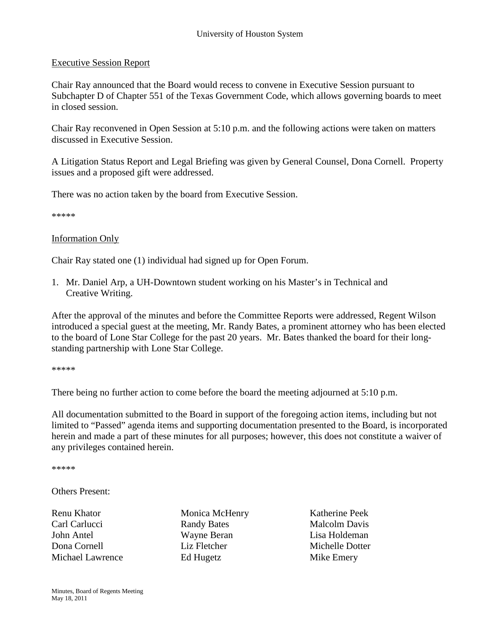#### Executive Session Report

Chair Ray announced that the Board would recess to convene in Executive Session pursuant to Subchapter D of Chapter 551 of the Texas Government Code, which allows governing boards to meet in closed session.

Chair Ray reconvened in Open Session at 5:10 p.m. and the following actions were taken on matters discussed in Executive Session.

A Litigation Status Report and Legal Briefing was given by General Counsel, Dona Cornell. Property issues and a proposed gift were addressed.

There was no action taken by the board from Executive Session.

\*\*\*\*\*

#### Information Only

Chair Ray stated one (1) individual had signed up for Open Forum.

1. Mr. Daniel Arp, a UH-Downtown student working on his Master's in Technical and Creative Writing.

After the approval of the minutes and before the Committee Reports were addressed, Regent Wilson introduced a special guest at the meeting, Mr. Randy Bates, a prominent attorney who has been elected to the board of Lone Star College for the past 20 years. Mr. Bates thanked the board for their longstanding partnership with Lone Star College.

\*\*\*\*\*

There being no further action to come before the board the meeting adjourned at 5:10 p.m.

All documentation submitted to the Board in support of the foregoing action items, including but not limited to "Passed" agenda items and supporting documentation presented to the Board, is incorporated herein and made a part of these minutes for all purposes; however, this does not constitute a waiver of any privileges contained herein.

\*\*\*\*\*

Others Present:

Renu Khator **Monica McHenry** Katherine Peek Carl Carlucci Randy Bates Malcolm Davis John Antel Wayne Beran Lisa Holdeman Dona Cornell Liz Fletcher Michelle Dotter Michael Lawrence Ed Hugetz Mike Emery